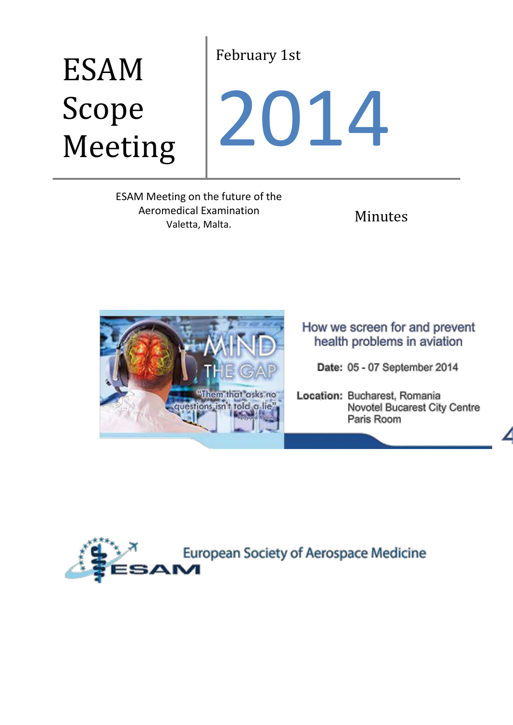# February 1st

# ESAM Scope Meeting

# 2014

ESAM Meeting on the future of the Aeromedical Examination nedical Examination<br>Valetta, Malta. Nata.



How we screen for and prevent health problems in aviation

Date: 05 - 07 September 2014

Location: Bucharest, Romania Novotel Bucarest City Centre Paris Room

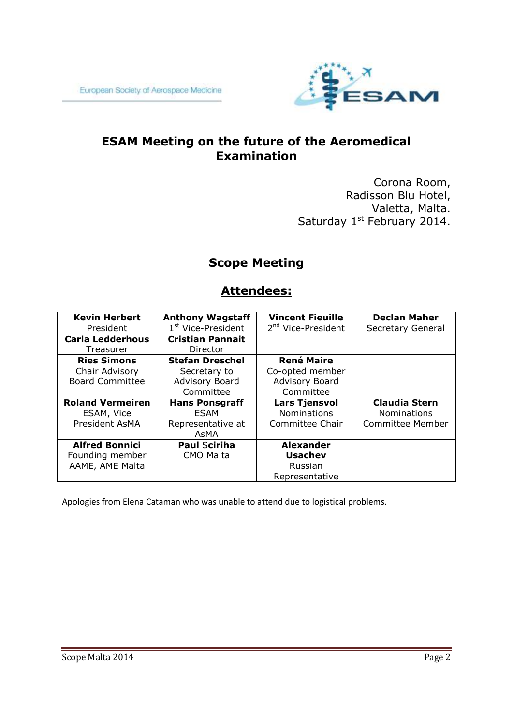

# **ESAM Meeting on the future of the Aeromedical Examination**

Corona Room, Radisson Blu Hotel, Valetta, Malta. Saturday 1<sup>st</sup> February 2014.

## **Scope Meeting**

### **Attendees:**

| <b>Kevin Herbert</b>    | <b>Anthony Wagstaff</b>        | <b>Vincent Fieuille</b>        | <b>Declan Maher</b>  |
|-------------------------|--------------------------------|--------------------------------|----------------------|
| President               | 1 <sup>st</sup> Vice-President | 2 <sup>nd</sup> Vice-President | Secretary General    |
| <b>Carla Ledderhous</b> | <b>Cristian Pannait</b>        |                                |                      |
| Treasurer               | Director                       |                                |                      |
| <b>Ries Simons</b>      | <b>Stefan Dreschel</b>         | <b>René Maire</b>              |                      |
| Chair Advisory          | Secretary to                   | Co-opted member                |                      |
| <b>Board Committee</b>  | Advisory Board                 | Advisory Board                 |                      |
|                         | Committee                      | Committee                      |                      |
| <b>Roland Vermeiren</b> | <b>Hans Ponsgraff</b>          | <b>Lars Tjensvol</b>           | <b>Claudia Stern</b> |
| ESAM, Vice              | ESAM                           | <b>Nominations</b>             | <b>Nominations</b>   |
| President AsMA          | Representative at              | Committee Chair                | Committee Member     |
|                         | AsMA                           |                                |                      |
|                         |                                |                                |                      |
| <b>Alfred Bonnici</b>   | <b>Paul Sciriha</b>            | <b>Alexander</b>               |                      |
| Founding member         | <b>CMO Malta</b>               | <b>Usachev</b>                 |                      |
| AAME, AME Malta         |                                | Russian                        |                      |

Apologies from Elena Cataman who was unable to attend due to logistical problems.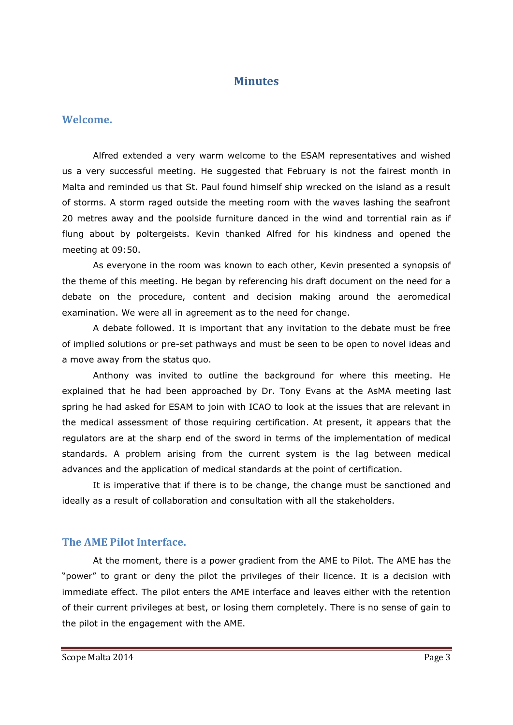#### **Minutes**

#### **Welcome.**

Alfred extended a very warm welcome to the ESAM representatives and wished us a very successful meeting. He suggested that February is not the fairest month in Malta and reminded us that St. Paul found himself ship wrecked on the island as a result of storms. A storm raged outside the meeting room with the waves lashing the seafront 20 metres away and the poolside furniture danced in the wind and torrential rain as if flung about by poltergeists. Kevin thanked Alfred for his kindness and opened the meeting at 09:50.

As everyone in the room was known to each other, Kevin presented a synopsis of the theme of this meeting. He began by referencing his draft document on the need for a debate on the procedure, content and decision making around the aeromedical examination. We were all in agreement as to the need for change.

A debate followed. It is important that any invitation to the debate must be free of implied solutions or pre-set pathways and must be seen to be open to novel ideas and a move away from the status quo.

Anthony was invited to outline the background for where this meeting. He explained that he had been approached by Dr. Tony Evans at the AsMA meeting last spring he had asked for ESAM to join with ICAO to look at the issues that are relevant in the medical assessment of those requiring certification. At present, it appears that the regulators are at the sharp end of the sword in terms of the implementation of medical standards. A problem arising from the current system is the lag between medical advances and the application of medical standards at the point of certification.

It is imperative that if there is to be change, the change must be sanctioned and ideally as a result of collaboration and consultation with all the stakeholders.

#### **The AME Pilot Interface.**

At the moment, there is a power gradient from the AME to Pilot. The AME has the "power" to grant or deny the pilot the privileges of their licence. It is a decision with immediate effect. The pilot enters the AME interface and leaves either with the retention of their current privileges at best, or losing them completely. There is no sense of gain to the pilot in the engagement with the AME.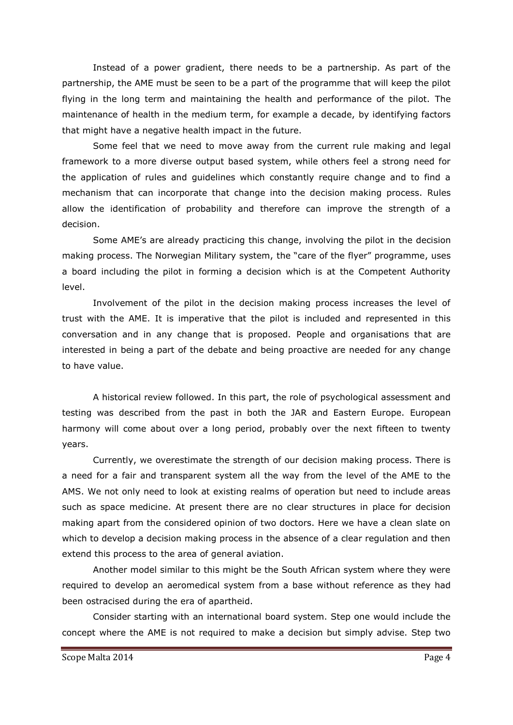Instead of a power gradient, there needs to be a partnership. As part of the partnership, the AME must be seen to be a part of the programme that will keep the pilot flying in the long term and maintaining the health and performance of the pilot. The maintenance of health in the medium term, for example a decade, by identifying factors that might have a negative health impact in the future.

Some feel that we need to move away from the current rule making and legal framework to a more diverse output based system, while others feel a strong need for the application of rules and guidelines which constantly require change and to find a mechanism that can incorporate that change into the decision making process. Rules allow the identification of probability and therefore can improve the strength of a decision.

Some AME's are already practicing this change, involving the pilot in the decision making process. The Norwegian Military system, the "care of the flyer" programme, uses a board including the pilot in forming a decision which is at the Competent Authority level.

Involvement of the pilot in the decision making process increases the level of trust with the AME. It is imperative that the pilot is included and represented in this conversation and in any change that is proposed. People and organisations that are interested in being a part of the debate and being proactive are needed for any change to have value.

A historical review followed. In this part, the role of psychological assessment and testing was described from the past in both the JAR and Eastern Europe. European harmony will come about over a long period, probably over the next fifteen to twenty years.

Currently, we overestimate the strength of our decision making process. There is a need for a fair and transparent system all the way from the level of the AME to the AMS. We not only need to look at existing realms of operation but need to include areas such as space medicine. At present there are no clear structures in place for decision making apart from the considered opinion of two doctors. Here we have a clean slate on which to develop a decision making process in the absence of a clear regulation and then extend this process to the area of general aviation.

Another model similar to this might be the South African system where they were required to develop an aeromedical system from a base without reference as they had been ostracised during the era of apartheid.

Consider starting with an international board system. Step one would include the concept where the AME is not required to make a decision but simply advise. Step two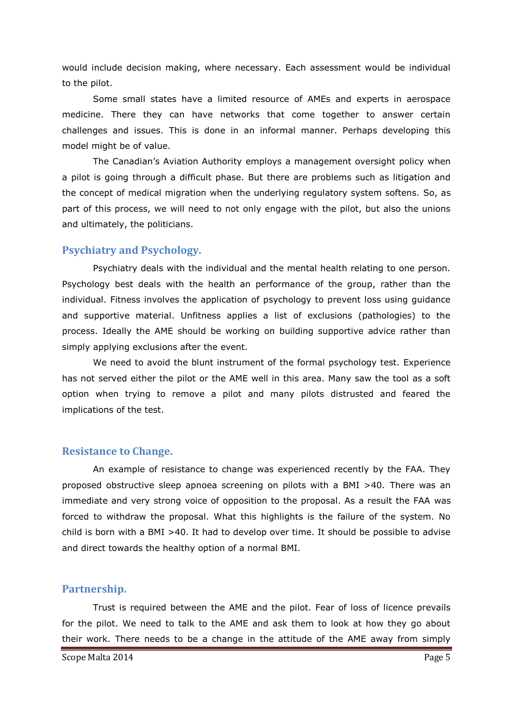would include decision making, where necessary. Each assessment would be individual to the pilot.

Some small states have a limited resource of AMEs and experts in aerospace medicine. There they can have networks that come together to answer certain challenges and issues. This is done in an informal manner. Perhaps developing this model might be of value.

The Canadian's Aviation Authority employs a management oversight policy when a pilot is going through a difficult phase. But there are problems such as litigation and the concept of medical migration when the underlying regulatory system softens. So, as part of this process, we will need to not only engage with the pilot, but also the unions and ultimately, the politicians.

#### **Psychiatry and Psychology.**

Psychiatry deals with the individual and the mental health relating to one person. Psychology best deals with the health an performance of the group, rather than the individual. Fitness involves the application of psychology to prevent loss using guidance and supportive material. Unfitness applies a list of exclusions (pathologies) to the process. Ideally the AME should be working on building supportive advice rather than simply applying exclusions after the event.

We need to avoid the blunt instrument of the formal psychology test. Experience has not served either the pilot or the AME well in this area. Many saw the tool as a soft option when trying to remove a pilot and many pilots distrusted and feared the implications of the test.

#### **Resistance to Change.**

An example of resistance to change was experienced recently by the FAA. They proposed obstructive sleep apnoea screening on pilots with a BMI >40. There was an immediate and very strong voice of opposition to the proposal. As a result the FAA was forced to withdraw the proposal. What this highlights is the failure of the system. No child is born with a BMI >40. It had to develop over time. It should be possible to advise and direct towards the healthy option of a normal BMI.

#### **Partnership.**

Trust is required between the AME and the pilot. Fear of loss of licence prevails for the pilot. We need to talk to the AME and ask them to look at how they go about their work. There needs to be a change in the attitude of the AME away from simply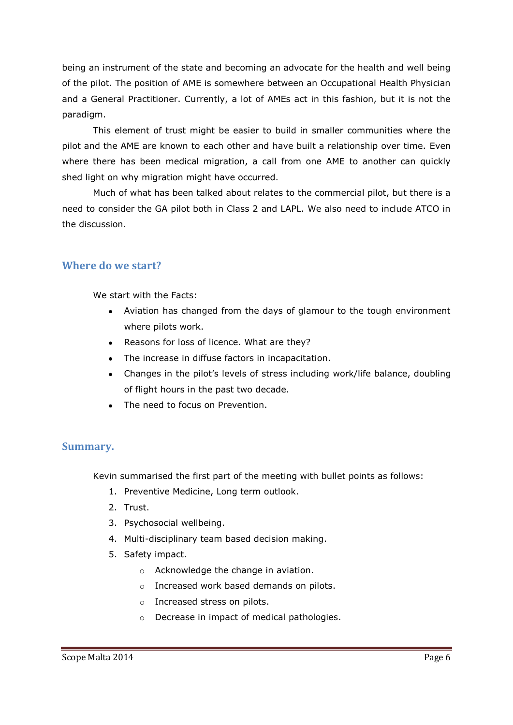being an instrument of the state and becoming an advocate for the health and well being of the pilot. The position of AME is somewhere between an Occupational Health Physician and a General Practitioner. Currently, a lot of AMEs act in this fashion, but it is not the paradigm.

This element of trust might be easier to build in smaller communities where the pilot and the AME are known to each other and have built a relationship over time. Even where there has been medical migration, a call from one AME to another can quickly shed light on why migration might have occurred.

Much of what has been talked about relates to the commercial pilot, but there is a need to consider the GA pilot both in Class 2 and LAPL. We also need to include ATCO in the discussion.

#### **Where do we start?**

We start with the Facts:

- Aviation has changed from the days of glamour to the tough environment where pilots work.
- Reasons for loss of licence. What are they?
- The increase in diffuse factors in incapacitation.
- Changes in the pilot's levels of stress including work/life balance, doubling of flight hours in the past two decade.
- The need to focus on Prevention.

#### **Summary.**

Kevin summarised the first part of the meeting with bullet points as follows:

- 1. Preventive Medicine, Long term outlook.
- 2. Trust.
- 3. Psychosocial wellbeing.
- 4. Multi-disciplinary team based decision making.
- 5. Safety impact.
	- o Acknowledge the change in aviation.
	- o Increased work based demands on pilots.
	- o Increased stress on pilots.
	- o Decrease in impact of medical pathologies.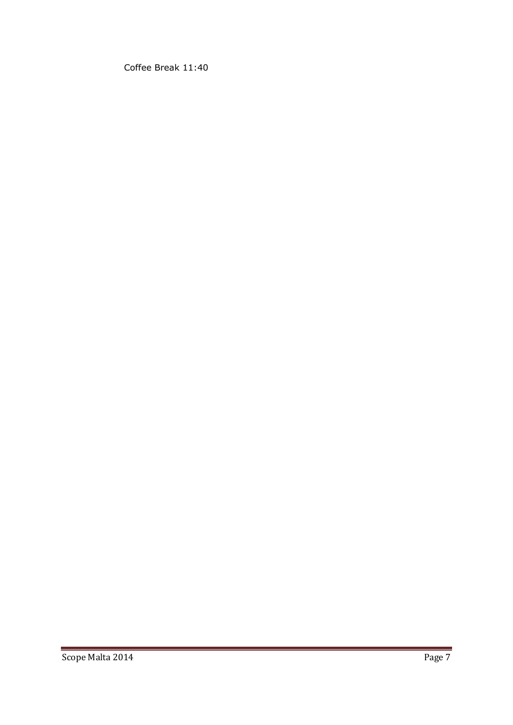Coffee Break 11:40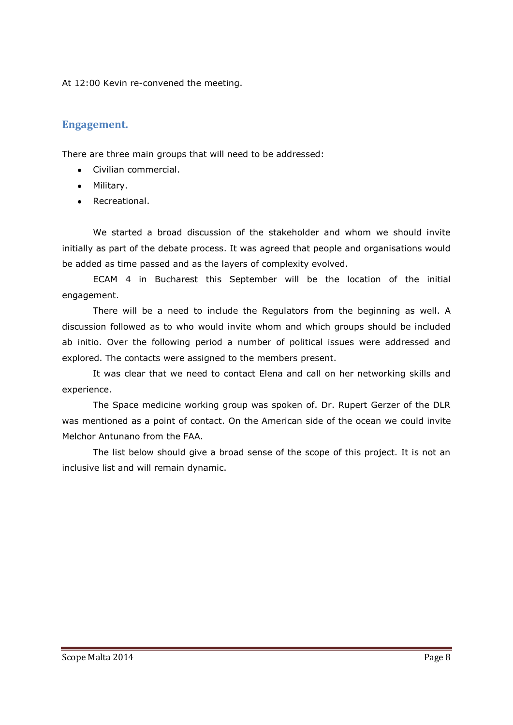At 12:00 Kevin re-convened the meeting.

#### **Engagement.**

There are three main groups that will need to be addressed:

- Civilian commercial.
- Military.
- Recreational.

We started a broad discussion of the stakeholder and whom we should invite initially as part of the debate process. It was agreed that people and organisations would be added as time passed and as the layers of complexity evolved.

ECAM 4 in Bucharest this September will be the location of the initial engagement.

There will be a need to include the Regulators from the beginning as well. A discussion followed as to who would invite whom and which groups should be included ab initio. Over the following period a number of political issues were addressed and explored. The contacts were assigned to the members present.

It was clear that we need to contact Elena and call on her networking skills and experience.

The Space medicine working group was spoken of. Dr. Rupert Gerzer of the DLR was mentioned as a point of contact. On the American side of the ocean we could invite Melchor Antunano from the FAA.

The list below should give a broad sense of the scope of this project. It is not an inclusive list and will remain dynamic.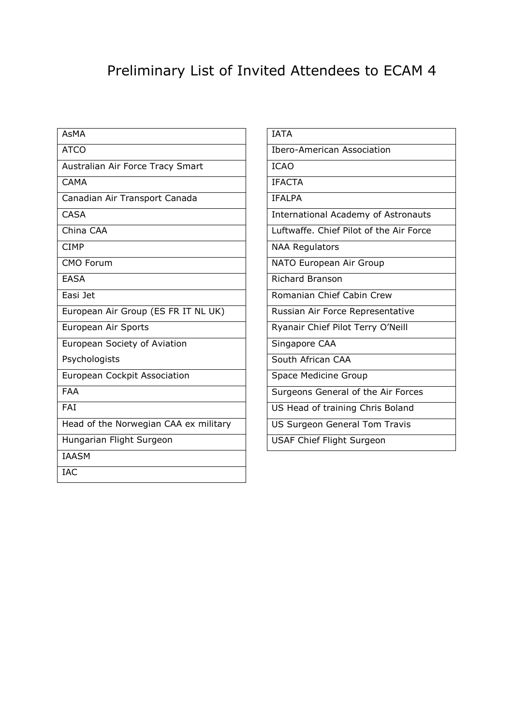# Preliminary List of Invited Attendees to ECAM 4

| <b>AsMA</b>                           |  |
|---------------------------------------|--|
| <b>ATCO</b>                           |  |
| Australian Air Force Tracy Smart      |  |
| CAMA                                  |  |
| Canadian Air Transport Canada         |  |
| <b>CASA</b>                           |  |
| China CAA                             |  |
| <b>CIMP</b>                           |  |
| <b>CMO Forum</b>                      |  |
| <b>EASA</b>                           |  |
| Easi Jet                              |  |
| European Air Group (ES FR IT NL UK)   |  |
| European Air Sports                   |  |
| European Society of Aviation          |  |
| Psychologists                         |  |
| European Cockpit Association          |  |
| <b>FAA</b>                            |  |
| FAI                                   |  |
| Head of the Norwegian CAA ex military |  |
| Hungarian Flight Surgeon              |  |
| <b>IAASM</b>                          |  |
| <b>IAC</b>                            |  |

| <b>IATA</b>                                |
|--------------------------------------------|
| Ibero-American Association                 |
| <b>ICAO</b>                                |
| <b>IFACTA</b>                              |
| <b>IFALPA</b>                              |
| <b>International Academy of Astronauts</b> |
| Luftwaffe. Chief Pilot of the Air Force    |
| <b>NAA Regulators</b>                      |
| NATO European Air Group                    |
| <b>Richard Branson</b>                     |
| Romanian Chief Cabin Crew                  |
| Russian Air Force Representative           |
| Ryanair Chief Pilot Terry O'Neill          |
| Singapore CAA                              |
| South African CAA                          |
| Space Medicine Group                       |
| Surgeons General of the Air Forces         |
| US Head of training Chris Boland           |
| US Surgeon General Tom Travis              |
| <b>USAF Chief Flight Surgeon</b>           |
|                                            |
|                                            |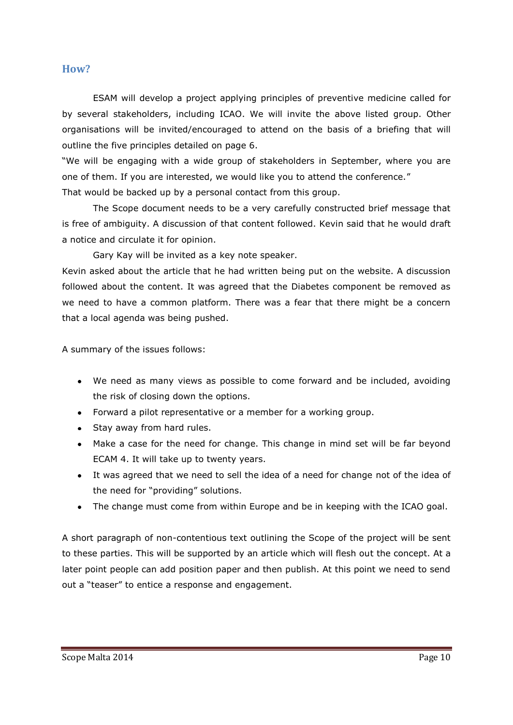#### **How?**

ESAM will develop a project applying principles of preventive medicine called for by several stakeholders, including ICAO. We will invite the above listed group. Other organisations will be invited/encouraged to attend on the basis of a briefing that will outline the five principles detailed on page 6.

"We will be engaging with a wide group of stakeholders in September, where you are one of them. If you are interested, we would like you to attend the conference." That would be backed up by a personal contact from this group.

The Scope document needs to be a very carefully constructed brief message that is free of ambiguity. A discussion of that content followed. Kevin said that he would draft a notice and circulate it for opinion.

Gary Kay will be invited as a key note speaker.

Kevin asked about the article that he had written being put on the website. A discussion followed about the content. It was agreed that the Diabetes component be removed as we need to have a common platform. There was a fear that there might be a concern that a local agenda was being pushed.

A summary of the issues follows:

- We need as many views as possible to come forward and be included, avoiding the risk of closing down the options.
- Forward a pilot representative or a member for a working group.
- Stay away from hard rules.
- Make a case for the need for change. This change in mind set will be far beyond ECAM 4. It will take up to twenty years.
- It was agreed that we need to sell the idea of a need for change not of the idea of the need for "providing" solutions.
- The change must come from within Europe and be in keeping with the ICAO goal.

A short paragraph of non-contentious text outlining the Scope of the project will be sent to these parties. This will be supported by an article which will flesh out the concept. At a later point people can add position paper and then publish. At this point we need to send out a "teaser" to entice a response and engagement.